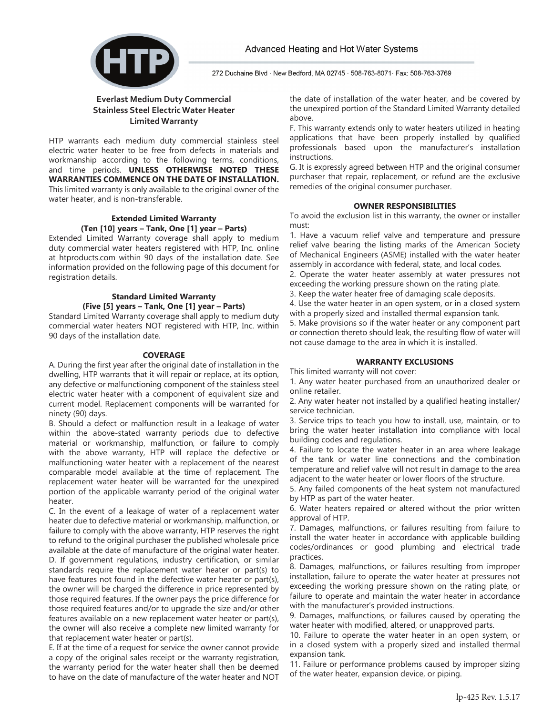

272 Duchaine Blvd · New Bedford, MA 02745 · 508-763-8071 · Fax: 508-763-3769

## **Everlast Medium Duty Commercial Stainless Steel Electric Water Heater Limited Warranty**

HTP warrants each medium duty commercial stainless steel electric water heater to be free from defects in materials and workmanship according to the following terms, conditions, and time periods. **UNLESS OTHERWISE NOTED THESE WARRANTIES COMMENCE ON THE DATE OF INSTALLATION.**  This limited warranty is only available to the original owner of the water heater, and is non-transferable.

## **Extended Limited Warranty (Ten [10] years – Tank, One [1] year – Parts)**

Extended Limited Warranty coverage shall apply to medium duty commercial water heaters registered with HTP, Inc. online at htproducts.com within 90 days of the installation date. See information provided on the following page of this document for registration details.

# **Standard Limited Warranty (Five [5] years – Tank, One [1] year – Parts)**

Standard Limited Warranty coverage shall apply to medium duty commercial water heaters NOT registered with HTP, Inc. within 90 days of the installation date.

### **COVERAGE**

A. During the first year after the original date of installation in the dwelling, HTP warrants that it will repair or replace, at its option, any defective or malfunctioning component of the stainless steel electric water heater with a component of equivalent size and current model. Replacement components will be warranted for ninety (90) days.

B. Should a defect or malfunction result in a leakage of water within the above-stated warranty periods due to defective material or workmanship, malfunction, or failure to comply with the above warranty, HTP will replace the defective or malfunctioning water heater with a replacement of the nearest comparable model available at the time of replacement. The replacement water heater will be warranted for the unexpired portion of the applicable warranty period of the original water heater.

C. In the event of a leakage of water of a replacement water heater due to defective material or workmanship, malfunction, or failure to comply with the above warranty, HTP reserves the right to refund to the original purchaser the published wholesale price available at the date of manufacture of the original water heater. D. If government regulations, industry certification, or similar standards require the replacement water heater or part(s) to have features not found in the defective water heater or part(s), the owner will be charged the difference in price represented by those required features. If the owner pays the price difference for those required features and/or to upgrade the size and/or other features available on a new replacement water heater or part(s), the owner will also receive a complete new limited warranty for that replacement water heater or part(s).

E. If at the time of a request for service the owner cannot provide a copy of the original sales receipt or the warranty registration, the warranty period for the water heater shall then be deemed to have on the date of manufacture of the water heater and NOT the date of installation of the water heater, and be covered by the unexpired portion of the Standard Limited Warranty detailed above.

F. This warranty extends only to water heaters utilized in heating applications that have been properly installed by qualified professionals based upon the manufacturer's installation instructions.

G. It is expressly agreed between HTP and the original consumer purchaser that repair, replacement, or refund are the exclusive remedies of the original consumer purchaser.

### **OWNER RESPONSIBILITIES**

To avoid the exclusion list in this warranty, the owner or installer must:

1. Have a vacuum relief valve and temperature and pressure relief valve bearing the listing marks of the American Society of Mechanical Engineers (ASME) installed with the water heater assembly in accordance with federal, state, and local codes.

2. Operate the water heater assembly at water pressures not exceeding the working pressure shown on the rating plate.

3. Keep the water heater free of damaging scale deposits.

4. Use the water heater in an open system, or in a closed system with a properly sized and installed thermal expansion tank.

5. Make provisions so if the water heater or any component part or connection thereto should leak, the resulting flow of water will not cause damage to the area in which it is installed.

## **WARRANTY EXCLUSIONS**

This limited warranty will not cover:

1. Any water heater purchased from an unauthorized dealer or online retailer.

2. Any water heater not installed by a qualified heating installer/ service technician.

3. Service trips to teach you how to install, use, maintain, or to bring the water heater installation into compliance with local building codes and regulations.

4. Failure to locate the water heater in an area where leakage of the tank or water line connections and the combination temperature and relief valve will not result in damage to the area adjacent to the water heater or lower floors of the structure.

5. Any failed components of the heat system not manufactured by HTP as part of the water heater.

6. Water heaters repaired or altered without the prior written approval of HTP.

7. Damages, malfunctions, or failures resulting from failure to install the water heater in accordance with applicable building codes/ordinances or good plumbing and electrical trade practices.

8. Damages, malfunctions, or failures resulting from improper installation, failure to operate the water heater at pressures not exceeding the working pressure shown on the rating plate, or failure to operate and maintain the water heater in accordance with the manufacturer's provided instructions.

9. Damages, malfunctions, or failures caused by operating the water heater with modified, altered, or unapproved parts.

10. Failure to operate the water heater in an open system, or in a closed system with a properly sized and installed thermal expansion tank.

11. Failure or performance problems caused by improper sizing of the water heater, expansion device, or piping.